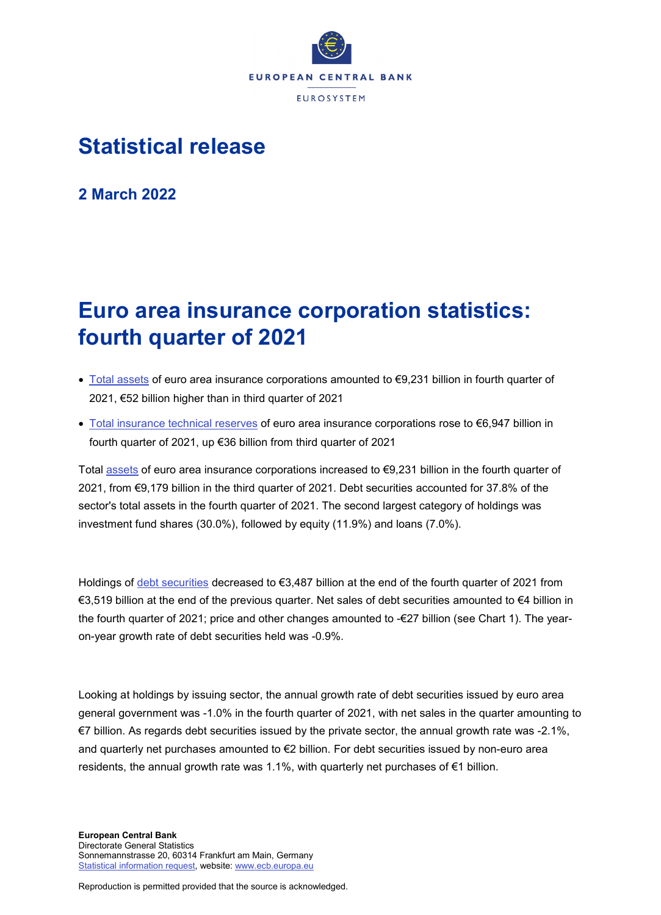

## **Statistical release**

**2 March 2022**

# **Euro area insurance corporation statistics: fourth quarter of 2021**

- [Total assets](https://sdw.ecb.europa.eu/quickview.do?SERIES_KEY=379.ICB.Q.U2.X.S128.T00.T.1.W0.S1._T.EUR) of euro area insurance corporations amounted to €9,231 billion in fourth quarter of 2021, €52 billion higher than in third quarter of 2021
- [Total insurance technical reserves](https://sdw.ecb.europa.eu/quickview.do?SERIES_KEY=379.ICB.Q.U2.X.S128.L40.T.1.W0.S1._T.EUR) of euro area insurance corporations rose to €6,947 billion in fourth quarter of 2021, up €36 billion from third quarter of 2021

Total [assets](https://sdw.ecb.europa.eu/browseSelection.do?type=series&q=ICB.Q.U2.X.S128.T00.T.1.W0.S1._T.EUR+ICB.Q.U2.X.S128.A30.T.1.W0.S1._T.EUR+ICB.Q.U2.X.S128.A30.T.4.W0.S1._T.EUR+ICB.Q.U2.X.S128.A30.T.Z.W0.S1._T.EUR&node=SEARCHRESULTS&ec=&oc=&rc=&cv=&pb=&dc=&df=) of euro area insurance corporations increased to €9,231 billion in the fourth quarter of 2021, from €9,179 billion in the third quarter of 2021. Debt securities accounted for 37.8% of the sector's total assets in the fourth quarter of 2021. The second largest category of holdings was investment fund shares (30.0%), followed by equity (11.9%) and loans (7.0%).

Holdings of [debt securities](https://sdw.ecb.europa.eu/browseSelection.do?type=series&q=ICB.Q.U2.X.S128.A30.T.1.W0.S1._T.EUR+ICB.Q.U2.X.S128.A30.T.4.W0.S1._T.EUR+ICB.Q.U2.X.S128.A30.T.Z.W0.S1._T.EUR&node=SEARCHRESULTS&ec=&oc=&rc=&cv=&pb=&dc=&df=) decreased to €3,487 billion at the end of the fourth quarter of 2021 from €3,519 billion at the end of the previous quarter. Net sales of debt securities amounted to €4 billion in the fourth quarter of 2021; price and other changes amounted to -€27 billion (see Chart 1). The yearon-year growth rate of debt securities held was -0.9%.

Looking at holdings by issuing sector, the annual growth rate of debt securities issued by euro area general government was -1.0% in the fourth quarter of 2021, with net sales in the quarter amounting to €7 billion. As regards debt securities issued by the private sector, the annual growth rate was -2.1%, and quarterly net purchases amounted to €2 billion. For debt securities issued by non-euro area residents, the annual growth rate was 1.1%, with quarterly net purchases of  $\epsilon$ 1 billion.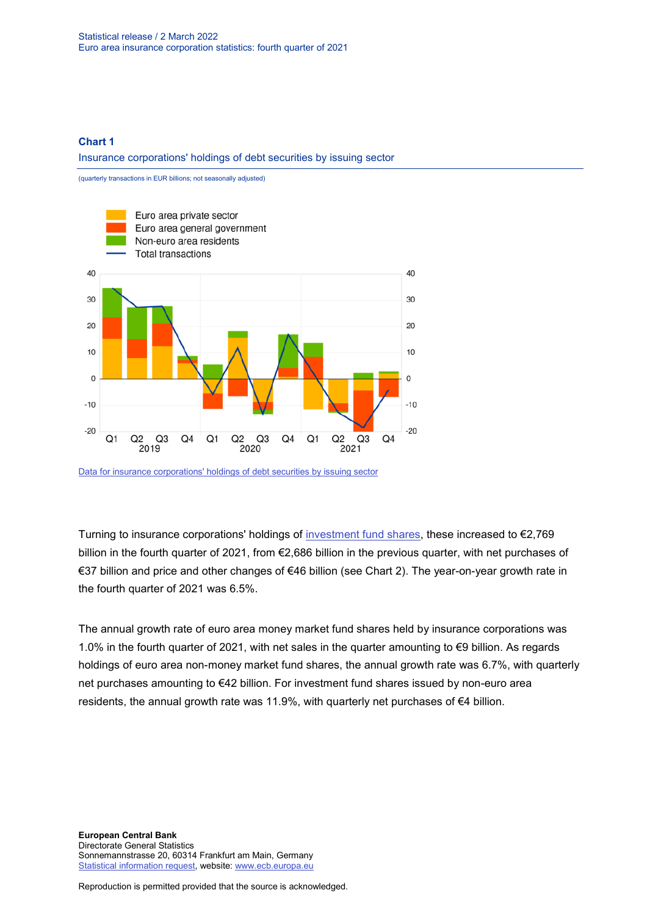#### **Chart 1**

Insurance corporations' holdings of debt securities by issuing sector



[Data for insurance corporations' holdings of debt securities by issuing sector](https://sdw.ecb.europa.eu/browseSelection.do?type=series&q=ICB.Q.U2.X.S128.A30.T.4.U2.S1._T.EUR%2c+ICB.Q.U2.X.S128.A30.T.4.U2.S13._T.EUR%2c+ICB.Q.U2.X.S128.A30.T.4.U4.S1._T.EUR%2c+ICB.Q.U2.X.S128.A30.T.4.W0.S1._T.EUR&node=SEARCHRESULTS&ec=&oc=&rc=&cv=&pb=&dc=&df=)

Turning to insurance corporations' holdings of [investment fund shares,](https://sdw.ecb.europa.eu/browseSelection.do?type=series&q=ICB.Q.U2.X.S128.A60.T.1.W0.S1._T.EUR+ICB.Q.U2.X.S128.A60.T.4.W0.S1._T.EUR+ICB.Q.U2.X.S128.A60.T.Z.W0.S1._T.EUR&node=SEARCHRESULTS&ec=&oc=&rc=&cv=&pb=&dc=&df=) these increased to €2,769 billion in the fourth quarter of 2021, from €2,686 billion in the previous quarter, with net purchases of €37 billion and price and other changes of €46 billion (see Chart 2). The year-on-year growth rate in the fourth quarter of 2021 was 6.5%.

The annual growth rate of euro area money market fund shares held by insurance corporations was 1.0% in the fourth quarter of 2021, with net sales in the quarter amounting to €9 billion. As regards holdings of euro area non-money market fund shares, the annual growth rate was 6.7%, with quarterly net purchases amounting to €42 billion. For investment fund shares issued by non-euro area residents, the annual growth rate was 11.9%, with quarterly net purchases of  $\epsilon$ 4 billion.

**European Central Bank** Directorate General Statistics Sonnemannstrasse 20, 60314 Frankfurt am Main, Germany [Statistical information request,](https://ecb-registration.escb.eu/statistical-information) website: [www.ecb.europa.eu](http://www.ecb.europa.eu/)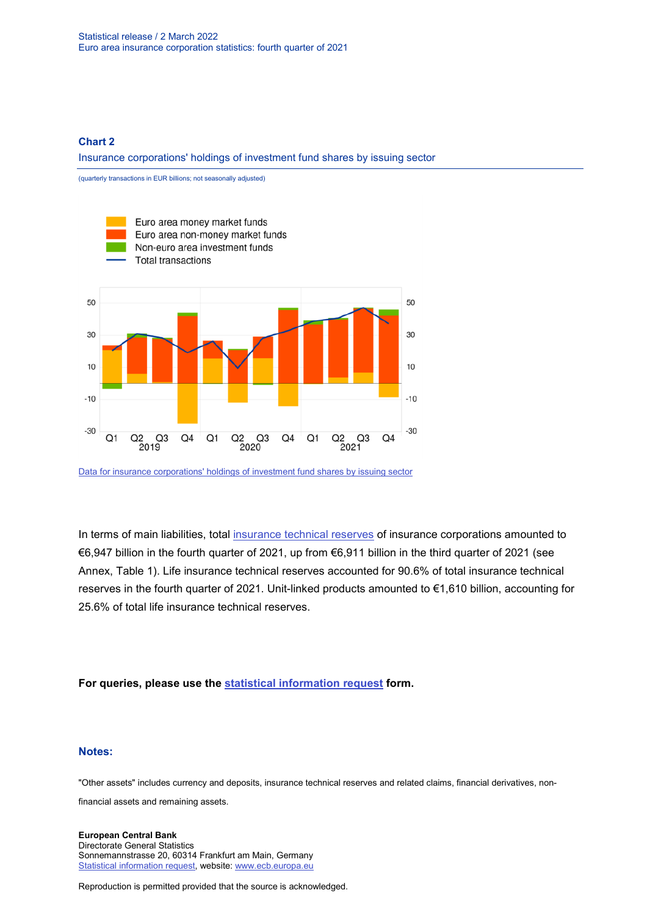#### **Chart 2**

Insurance corporations' holdings of investment fund shares by issuing sector



[Data for insurance corporations' holdings of investment fund shares by issuing sector](https://sdw.ecb.europa.eu/browseSelection.do?type=series&q=ICB.Q.U2.X.S128.A61.T.4.U2.S12K._T.EUR%2c+ICB.Q.U2.X.S128.A62.T.4.U2.S124._T.EUR%2c++ICB.Q.U2.X.S128.A60.T.4.U4.S1._T.EUR%2c+ICB.Q.U2.X.S128.A60.T.4.W0.S1._T.EUR&node=SEARCHRESULTS&ec=&oc=&rc=&cv=&pb=&dc=&df=)

In terms of main liabilities, total [insurance technical reserves](https://sdw.ecb.europa.eu/browseSelection.do?type=series&q=ICB.Q.U2.X.S128.L40.T.1.W0.S1._T.EUR+ICB.Q.U2.X.S128.L41.T.1.W0.S1._T.EUR++ICB.Q.U2.X.S128.L411.T.1.W0.S1._T.EUR+&node=SEARCHRESULTS&ec=&oc=&rc=&cv=&pb=&dc=&df=) of insurance corporations amounted to €6,947 billion in the fourth quarter of 2021, up from €6,911 billion in the third quarter of 2021 (see Annex, Table 1). Life insurance technical reserves accounted for 90.6% of total insurance technical reserves in the fourth quarter of 2021. Unit-linked products amounted to €1,610 billion, accounting for 25.6% of total life insurance technical reserves.

**For queries, please use the [statistical information request](https://ecb-registration.escb.eu/statistical-information) form.**

#### **Notes:**

"Other assets" includes currency and deposits, insurance technical reserves and related claims, financial derivatives, non-

financial assets and remaining assets.

**European Central Bank** Directorate General Statistics Sonnemannstrasse 20, 60314 Frankfurt am Main, Germany [Statistical information request,](https://ecb-registration.escb.eu/statistical-information) website: [www.ecb.europa.eu](http://www.ecb.europa.eu/)

Reproduction is permitted provided that the source is acknowledged.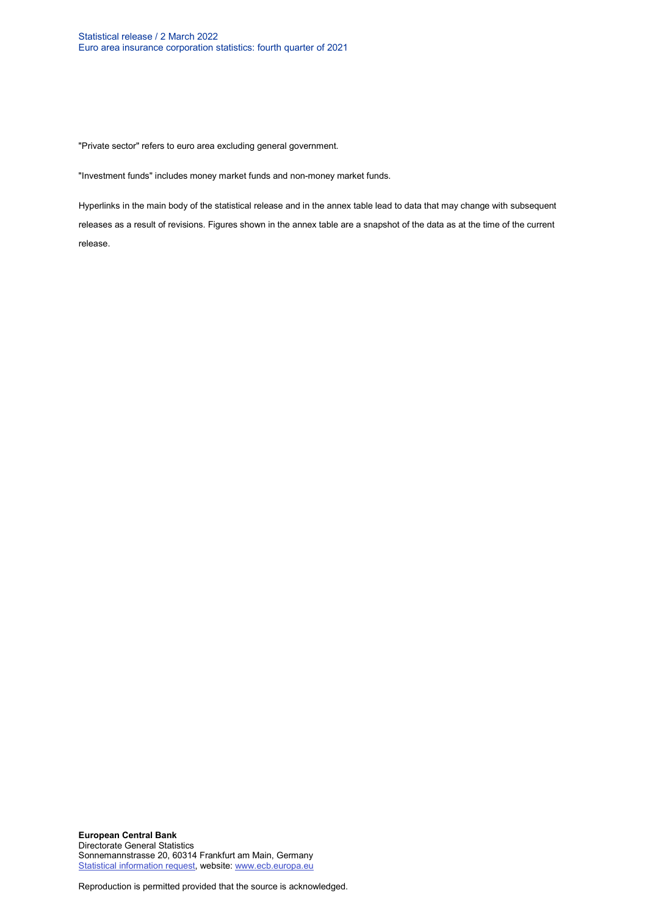"Private sector" refers to euro area excluding general government.

"Investment funds" includes money market funds and non-money market funds.

Hyperlinks in the main body of the statistical release and in the annex table lead to data that may change with subsequent releases as a result of revisions. Figures shown in the annex table are a snapshot of the data as at the time of the current release.